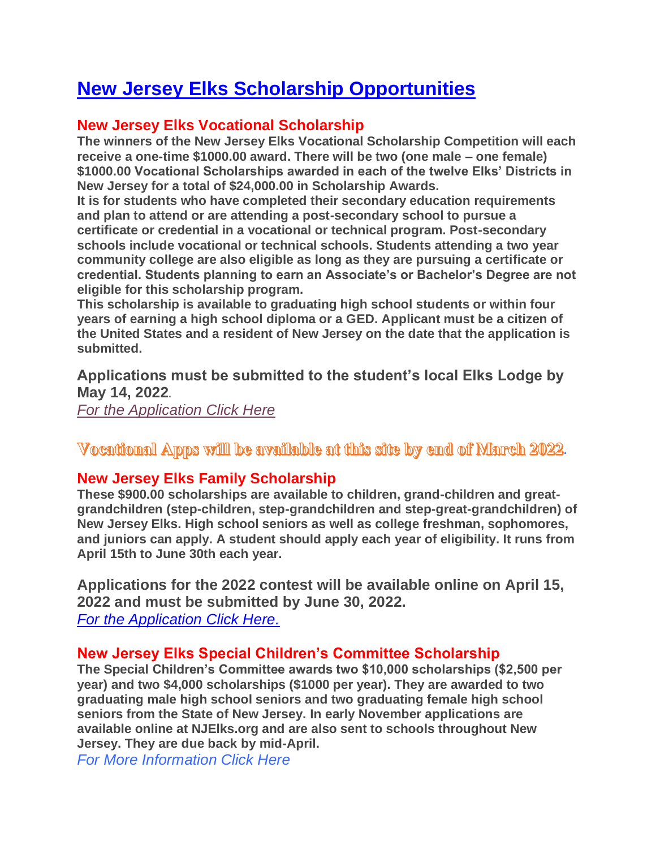# **New Jersey Elks Scholarship Opportunities**

# **New Jersey Elks Vocational Scholarship**

**The winners of the New Jersey Elks Vocational Scholarship Competition will each receive a one-time \$1000.00 award. There will be two (one male – one female) \$1000.00 Vocational Scholarships awarded in each of the twelve Elks' Districts in New Jersey for a total of \$24,000.00 in Scholarship Awards.**

**It is for students who have completed their secondary education requirements and plan to attend or are attending a post-secondary school to pursue a certificate or credential in a vocational or technical program. Post-secondary schools include vocational or technical schools. Students attending a two year community college are also eligible as long as they are pursuing a certificate or credential. Students planning to earn an Associate's or Bachelor's Degree are not eligible for this scholarship program.**

**This scholarship is available to graduating high school students or within four years of earning a high school diploma or a GED. Applicant must be a citizen of the United States and a resident of New Jersey on the date that the application is submitted.**

**Applications must be submitted to the student's local Elks Lodge by May 14, 2022.**

*[For the Application Click Here](https://www.njelks.org/images/stories/Scholarship/NJ_Elks_Vocational_Scholarship_Application_2022_Rev1.doc.pdf)*

**Vocational Apps will be available at this site by end of March 2022.** 

## **New Jersey Elks Family Scholarship**

**These \$900.00 scholarships are available to children, grand-children and greatgrandchildren (step-children, step-grandchildren and step-great-grandchildren) of New Jersey Elks. High school seniors as well as college freshman, sophomores, and juniors can apply. A student should apply each year of eligibility. It runs from April 15th to June 30th each year.**

**Applications for the 2022 contest will be available online on April 15, 2022 and must be submitted by June 30, 2022.** *[For the Application Click Here.](http://www.njelks.org/images/stories/Scholarship/2022_NJ_Elks_Family_Application_Rev1.pdf)*

## **New Jersey Elks Special Children's Committee Scholarship**

**The Special Children's Committee awards two \$10,000 scholarships (\$2,500 per year) and two \$4,000 scholarships (\$1000 per year). They are awarded to two graduating male high school seniors and two graduating female high school seniors from the State of New Jersey. In early November applications are available online at NJElks.org and are also sent to schools throughout New Jersey. They are due back by mid-April.**

*[For More Information Click Here](http://www.njelks.org/index.php?option=com_content&view=article&id=106:scc-scholarship-program&catid=47&Itemid=173)*